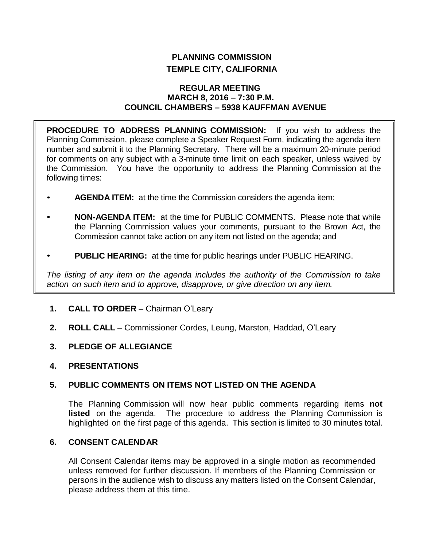# **PLANNING COMMISSION TEMPLE CITY, CALIFORNIA**

## **REGULAR MEETING MARCH 8, 2016 – 7:30 P.M. COUNCIL CHAMBERS – 5938 KAUFFMAN AVENUE**

**PROCEDURE TO ADDRESS PLANNING COMMISSION:** If you wish to address the Planning Commission, please complete a Speaker Request Form, indicating the agenda item number and submit it to the Planning Secretary. There will be a maximum 20-minute period for comments on any subject with a 3-minute time limit on each speaker, unless waived by the Commission. You have the opportunity to address the Planning Commission at the following times:

- **AGENDA ITEM:** at the time the Commission considers the agenda item;
- **NON-AGENDA ITEM:** at the time for PUBLIC COMMENTS. Please note that while the Planning Commission values your comments, pursuant to the Brown Act, the Commission cannot take action on any item not listed on the agenda; and
- **PUBLIC HEARING:** at the time for public hearings under PUBLIC HEARING.

*The listing of any item on the agenda includes the authority of the Commission to take action on such item and to approve, disapprove, or give direction on any item.*

- **1. CALL TO ORDER** Chairman O'Leary
- **2. ROLL CALL** Commissioner Cordes, Leung, Marston, Haddad, O'Leary
- **3. PLEDGE OF ALLEGIANCE**
- **4. PRESENTATIONS**

## **5. PUBLIC COMMENTS ON ITEMS NOT LISTED ON THE AGENDA**

The Planning Commission will now hear public comments regarding items **not listed** on the agenda. The procedure to address the Planning Commission is highlighted on the first page of this agenda. This section is limited to 30 minutes total.

## **6. CONSENT CALENDAR**

All Consent Calendar items may be approved in a single motion as recommended unless removed for further discussion. If members of the Planning Commission or persons in the audience wish to discuss any matters listed on the Consent Calendar, please address them at this time.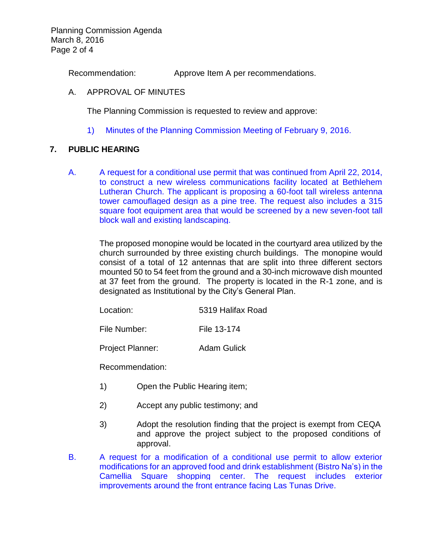Planning Commission Agenda March 8, 2016 Page 2 of 4

Recommendation: Approve Item A per recommendations.

#### A. APPROVAL OF MINUTES

The Planning Commission is requested to review and approve:

1) Minutes of the [Planning Commission Meeting](http://ca-templecity.civicplus.com/DocumentCenter/View/5594) of February 9, 2016.

## **7. PUBLIC HEARING**

A. A request for a conditional use permit [that was continued from April 22, 2014,](http://ca-templecity.civicplus.com/DocumentCenter/View/5592) [to construct a new wireless communications facility located at Bethlehem](http://ca-templecity.civicplus.com/DocumentCenter/View/5592)  [Lutheran Church. The applicant is proposing a 60-foot tall wireless antenna](http://ca-templecity.civicplus.com/DocumentCenter/View/5592)  [tower camouflaged design as a pine tree. The request also includes](http://ca-templecity.civicplus.com/DocumentCenter/View/5592) a 315 [square foot equipment area that would be screened by a new seven-foot tall](http://ca-templecity.civicplus.com/DocumentCenter/View/5592)  [block wall and existing landscaping.](http://ca-templecity.civicplus.com/DocumentCenter/View/5592)

The proposed monopine would be located in the courtyard area utilized by the church surrounded by three existing church buildings. The monopine would consist of a total of 12 antennas that are split into three different sectors mounted 50 to 54 feet from the ground and a 30-inch microwave dish mounted at 37 feet from the ground. The property is located in the R-1 zone, and is designated as Institutional by the City's General Plan.

| Location: | 5319 Halifax Road |
|-----------|-------------------|
|           |                   |

File Number: File 13-174

Project Planner: Adam Gulick

Recommendation:

- 1) Open the Public Hearing item;
- 2) Accept any public testimony; and
- 3) Adopt the resolution finding that the project is exempt from CEQA and approve the project subject to the proposed conditions of approval.
- B. A request for a [modification of a conditional use permit to allow exterior](http://ca-templecity.civicplus.com/DocumentCenter/View/5593)  [modifications for an approved food and drink establishment \(Bistro Na's\) in the](http://ca-templecity.civicplus.com/DocumentCenter/View/5593)  [Camellia Square shopping center. The request](http://ca-templecity.civicplus.com/DocumentCenter/View/5593) includes exterior improvements [around the front entrance facing Las Tunas Drive.](http://ca-templecity.civicplus.com/DocumentCenter/View/5593)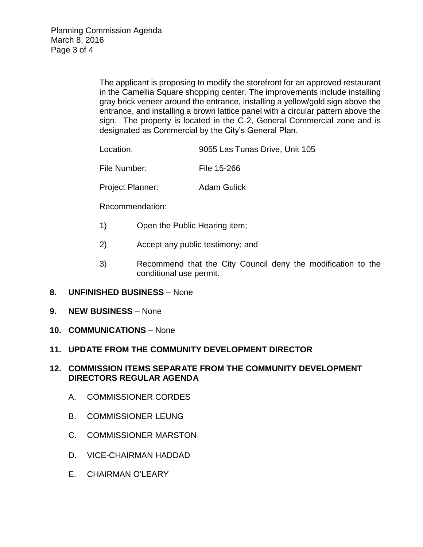The applicant is proposing to modify the storefront for an approved restaurant in the Camellia Square shopping center. The improvements include installing gray brick veneer around the entrance, installing a yellow/gold sign above the entrance, and installing a brown lattice panel with a circular pattern above the sign. The property is located in the C-2, General Commercial zone and is designated as Commercial by the City's General Plan.

Location: 9055 Las Tunas Drive, Unit 105

File Number: File 15-266

Project Planner: Adam Gulick

Recommendation:

- 1) Open the Public Hearing item;
- 2) Accept any public testimony; and
- 3) Recommend that the City Council deny the modification to the conditional use permit.
- **8. UNFINISHED BUSINESS** None
- **9. NEW BUSINESS** None
- **10. COMMUNICATIONS** None

## **11. UPDATE FROM THE COMMUNITY DEVELOPMENT DIRECTOR**

#### **12. COMMISSION ITEMS SEPARATE FROM THE COMMUNITY DEVELOPMENT DIRECTORS REGULAR AGENDA**

- A. COMMISSIONER CORDES
- B. COMMISSIONER LEUNG
- C. COMMISSIONER MARSTON
- D. VICE-CHAIRMAN HADDAD
- E. CHAIRMAN O'LEARY